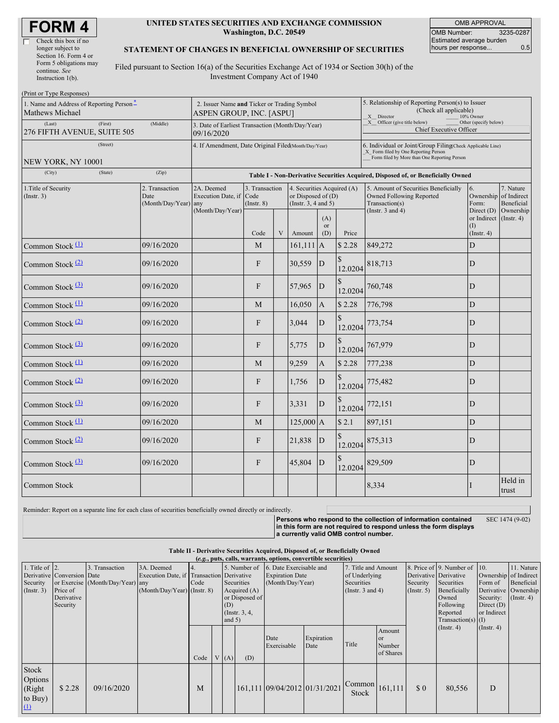| Check this box if no   |
|------------------------|
| longer subject to      |
| Section 16. Form 4 or  |
| Form 5 obligations may |
| continue. See          |
| Instruction 1(b).      |

### **UNITED STATES SECURITIES AND EXCHANGE COMMISSION Washington, D.C. 20549**

OMB APPROVAL OMB Number: 3235-0287 Estimated average burden hours per response... 6.5

SEC 1474 (9-02)

### **STATEMENT OF CHANGES IN BENEFICIAL OWNERSHIP OF SECURITIES**

Filed pursuant to Section 16(a) of the Securities Exchange Act of 1934 or Section 30(h) of the Investment Company Act of 1940

| (Print or Type Responses)                                               |                                                                         |                                                                |                                   |   |                                                                                |                                                                                                                                                     |                                                                                  |                                                                                    |                                                    |                         |  |
|-------------------------------------------------------------------------|-------------------------------------------------------------------------|----------------------------------------------------------------|-----------------------------------|---|--------------------------------------------------------------------------------|-----------------------------------------------------------------------------------------------------------------------------------------------------|----------------------------------------------------------------------------------|------------------------------------------------------------------------------------|----------------------------------------------------|-------------------------|--|
| 1. Name and Address of Reporting Person <sup>*</sup><br>Mathews Michael | 2. Issuer Name and Ticker or Trading Symbol<br>ASPEN GROUP, INC. [ASPU] |                                                                |                                   |   |                                                                                | 5. Relationship of Reporting Person(s) to Issuer<br>(Check all applicable)<br>X Director<br>10% Owner                                               |                                                                                  |                                                                                    |                                                    |                         |  |
| (First)<br>(Last)<br>276 FIFTH AVENUE, SUITE 505                        | (Middle)                                                                | 3. Date of Earliest Transaction (Month/Day/Year)<br>09/16/2020 |                                   |   |                                                                                |                                                                                                                                                     |                                                                                  | X Officer (give title below)<br>Other (specify below)<br>Chief Executive Officer   |                                                    |                         |  |
| (Street)<br>NEW YORK, NY 10001                                          | 4. If Amendment, Date Original Filed(Month/Day/Year)                    |                                                                |                                   |   |                                                                                | 6. Individual or Joint/Group Filing(Check Applicable Line)<br>X_ Form filed by One Reporting Person<br>Form filed by More than One Reporting Person |                                                                                  |                                                                                    |                                                    |                         |  |
| (State)<br>(City)                                                       |                                                                         |                                                                |                                   |   |                                                                                |                                                                                                                                                     | Table I - Non-Derivative Securities Acquired, Disposed of, or Beneficially Owned |                                                                                    |                                                    |                         |  |
| 1. Title of Security<br>(Insert. 3)                                     | 2. Transaction<br>Date<br>(Month/Day/Year) any                          | 2A. Deemed<br>Execution Date, if Code<br>(Month/Day/Year)      | 3. Transaction<br>$($ Instr. $8)$ |   | 4. Securities Acquired (A)<br>or Disposed of $(D)$<br>(Instr. $3, 4$ and $5$ ) |                                                                                                                                                     |                                                                                  | 5. Amount of Securities Beneficially<br>Owned Following Reported<br>Transaction(s) | 6.<br>Ownership of Indirect<br>Form:<br>Direct (D) | 7. Nature<br>Beneficial |  |
|                                                                         |                                                                         |                                                                | Code                              | V | Amount                                                                         | (A)<br><b>or</b><br>(D)                                                                                                                             | Price                                                                            | (Instr. $3$ and $4$ )                                                              | or Indirect (Instr. 4)<br>(1)<br>$($ Instr. 4 $)$  | Ownership               |  |
| Common Stock $(1)$                                                      | 09/16/2020                                                              |                                                                | M                                 |   | $161,111$ A                                                                    |                                                                                                                                                     | \$2.28                                                                           | 849,272                                                                            | D                                                  |                         |  |
| Common Stock $(2)$                                                      | 09/16/2020                                                              |                                                                | F                                 |   | 30,559                                                                         | D                                                                                                                                                   | 12.0204                                                                          | 818,713                                                                            | D                                                  |                         |  |
| Common Stock $(3)$                                                      | 09/16/2020                                                              |                                                                | F                                 |   | 57,965                                                                         | D                                                                                                                                                   | 12.0204                                                                          | 760,748                                                                            | D                                                  |                         |  |
| Common Stock (1)                                                        | 09/16/2020                                                              |                                                                | M                                 |   | 16,050                                                                         | $\mathbf{A}$                                                                                                                                        | \$2.28                                                                           | 776,798                                                                            | $\mathbf D$                                        |                         |  |
| Common Stock $(2)$                                                      | 09/16/2020                                                              |                                                                | $\mathbf{F}$                      |   | 3,044                                                                          | ${\bf D}$                                                                                                                                           | 12.0204                                                                          | 773,754                                                                            | D                                                  |                         |  |
| Common Stock $(3)$                                                      | 09/16/2020                                                              |                                                                | $\mathbf{F}$                      |   | 5,775                                                                          | $\overline{D}$                                                                                                                                      | 12.0204                                                                          | 767,979                                                                            | D                                                  |                         |  |
| Common Stock $(1)$                                                      | 09/16/2020                                                              |                                                                | M                                 |   | 9,259                                                                          | $\mathbf A$                                                                                                                                         | \$2.28                                                                           | 777,238                                                                            | D                                                  |                         |  |
| Common Stock <sup>(2)</sup>                                             | 09/16/2020                                                              |                                                                | $\mathbf{F}$                      |   | 1,756                                                                          | D                                                                                                                                                   | 12.0204                                                                          | 775,482                                                                            | D                                                  |                         |  |
| Common Stock <sup>(3)</sup>                                             | 09/16/2020                                                              |                                                                | $\mathbf{F}$                      |   | 3,331                                                                          | D                                                                                                                                                   | 12.0204                                                                          | 772,151                                                                            | D                                                  |                         |  |
| Common Stock (1)                                                        | 09/16/2020                                                              |                                                                | M                                 |   | $125,000$ A                                                                    |                                                                                                                                                     | \$2.1                                                                            | 897,151                                                                            | D                                                  |                         |  |
| Common Stock $(2)$                                                      | 09/16/2020                                                              |                                                                | F                                 |   | 21,838                                                                         | $\mathbf{D}$                                                                                                                                        | 12.0204                                                                          | 875,313                                                                            | D                                                  |                         |  |
| Common Stock $(3)$                                                      | 09/16/2020                                                              |                                                                | $\mathbf{F}$                      |   | 45,804                                                                         | D                                                                                                                                                   | 12.0204                                                                          | 829,509                                                                            | D                                                  |                         |  |
| <b>Common Stock</b>                                                     |                                                                         |                                                                |                                   |   |                                                                                |                                                                                                                                                     |                                                                                  | 8,334                                                                              |                                                    | Held in<br>trust        |  |

Reminder: Report on a separate line for each class of securities beneficially owned directly or indirectly.

**Persons who respond to the collection of information contained in this form are not required to respond unless the form displays a currently valid OMB control number.**

#### **Table II - Derivative Securities Acquired, Disposed of, or Beneficially Owned (***e.g.***, puts, calls, warrants, options, convertible securities)**

| 1. Title of $\vert$ 2. |                            | 3. Transaction                   | 3A. Deemed                                |      |  |          | 5. Number of           | 6. Date Exercisable and       |               | 7. Title and Amount   |           |                       | 8. Price of 9. Number of | 10.                  | 11. Nature    |
|------------------------|----------------------------|----------------------------------|-------------------------------------------|------|--|----------|------------------------|-------------------------------|---------------|-----------------------|-----------|-----------------------|--------------------------|----------------------|---------------|
|                        | Derivative Conversion Date |                                  | Execution Date, if Transaction Derivative |      |  |          | <b>Expiration Date</b> |                               | of Underlying |                       |           | Derivative Derivative | Ownership of Indirect    |                      |               |
| Security               |                            | or Exercise (Month/Day/Year) any |                                           | Code |  |          | Securities             | (Month/Day/Year)              |               | Securities            |           | Security              | Securities               | Form of              | Beneficial    |
| (Insert. 3)            | Price of                   |                                  | (Month/Day/Year) (Instr. 8)               |      |  |          | Acquired $(A)$         |                               |               | (Instr. $3$ and $4$ ) |           | $($ Instr. 5)         | Beneficially             | Derivative Ownership |               |
|                        | Derivative                 |                                  |                                           |      |  |          | or Disposed of         |                               |               |                       |           |                       | Owned                    | Security:            | $($ Instr. 4) |
|                        | Security                   |                                  |                                           |      |  | (D)      |                        |                               |               |                       |           |                       | Following                | Direct $(D)$         |               |
|                        |                            |                                  |                                           |      |  |          | (Instr. 3, 4,          |                               |               |                       |           |                       | Reported                 | or Indirect          |               |
|                        |                            |                                  |                                           |      |  | and $5)$ |                        |                               |               |                       |           |                       | Transaction(s) $(I)$     |                      |               |
|                        |                            |                                  |                                           |      |  |          |                        |                               |               |                       | Amount    |                       | $($ Instr. 4 $)$         | $($ Instr. 4 $)$     |               |
|                        |                            |                                  |                                           |      |  |          |                        | Date                          | Expiration    |                       | <b>or</b> |                       |                          |                      |               |
|                        |                            |                                  |                                           |      |  |          |                        | Exercisable                   | Date          | Title                 | Number    |                       |                          |                      |               |
|                        |                            |                                  |                                           |      |  |          |                        |                               |               |                       | of Shares |                       |                          |                      |               |
|                        |                            |                                  |                                           | Code |  | (A)      | (D)                    |                               |               |                       |           |                       |                          |                      |               |
| Stock                  |                            |                                  |                                           |      |  |          |                        |                               |               |                       |           |                       |                          |                      |               |
| Options                |                            |                                  |                                           |      |  |          |                        |                               |               |                       |           |                       |                          |                      |               |
|                        |                            |                                  |                                           |      |  |          |                        |                               |               | $\frac{1}{161,111}$   |           |                       |                          |                      |               |
| (Right                 | \$2.28                     | 09/16/2020                       |                                           | M    |  |          |                        | 161,111 09/04/2012 01/31/2021 |               | Stock                 |           | \$0                   | 80,556                   | D                    |               |
| to Buy)                |                            |                                  |                                           |      |  |          |                        |                               |               |                       |           |                       |                          |                      |               |
| $\mathbf{u}$           |                            |                                  |                                           |      |  |          |                        |                               |               |                       |           |                       |                          |                      |               |
|                        |                            |                                  |                                           |      |  |          |                        |                               |               |                       |           |                       |                          |                      |               |